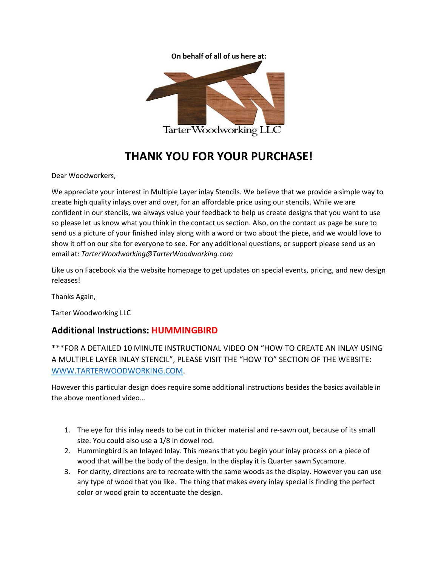



## **THANK YOU FOR YOUR PURCHASE!**

Dear Woodworkers,

We appreciate your interest in Multiple Layer inlay Stencils. We believe that we provide a simple way to create high quality inlays over and over, for an affordable price using our stencils. While we are confident in our stencils, we always value your feedback to help us create designs that you want to use so please let us know what you think in the contact us section. Also, on the contact us page be sure to send us a picture of your finished inlay along with a word or two about the piece, and we would love to show it off on our site for everyone to see. For any additional questions, or support please send us an email at: *TarterWoodworking@TarterWoodworking.com*

Like us on Facebook via the website homepage to get updates on special events, pricing, and new design releases!

Thanks Again,

Tarter Woodworking LLC

## **Additional Instructions: HUMMINGBIRD**

\*\*\*FOR A DETAILED 10 MINUTE INSTRUCTIONAL VIDEO ON "HOW TO CREATE AN INLAY USING A MULTIPLE LAYER INLAY STENCIL", PLEASE VISIT THE "HOW TO" SECTION OF THE WEBSITE: [WWW.TARTERWOODWORKING.COM.](http://www.tarterwoodworking.com/)

However this particular design does require some additional instructions besides the basics available in the above mentioned video…

- 1. The eye for this inlay needs to be cut in thicker material and re-sawn out, because of its small size. You could also use a 1/8 in dowel rod.
- 2. Hummingbird is an Inlayed Inlay. This means that you begin your inlay process on a piece of wood that will be the body of the design. In the display it is Quarter sawn Sycamore.
- 3. For clarity, directions are to recreate with the same woods as the display. However you can use any type of wood that you like. The thing that makes every inlay special is finding the perfect color or wood grain to accentuate the design.